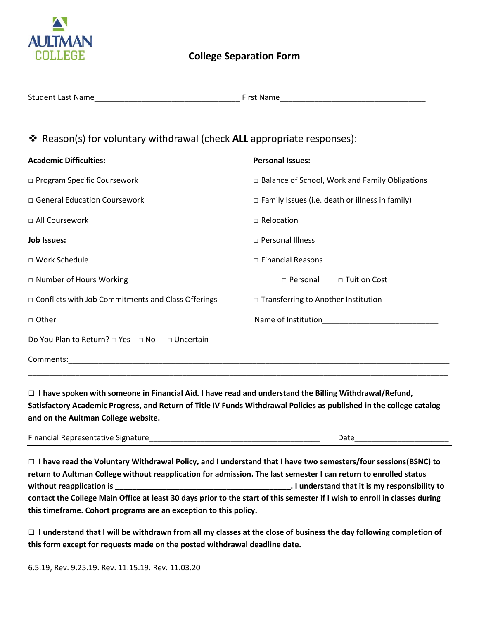

| <b>Student Last Name</b> | --<br>First Name |
|--------------------------|------------------|
|                          |                  |

## ❖ Reason(s) for voluntary withdrawal (check **ALL** appropriate responses):

| <b>Academic Difficulties:</b>                             | <b>Personal Issues:</b>                                |  |
|-----------------------------------------------------------|--------------------------------------------------------|--|
| □ Program Specific Coursework                             | $\Box$ Balance of School, Work and Family Obligations  |  |
| □ General Education Coursework                            | $\Box$ Family Issues (i.e. death or illness in family) |  |
| □ All Coursework                                          | $\Box$ Relocation                                      |  |
| <b>Job Issues:</b>                                        | □ Personal Illness                                     |  |
| □ Work Schedule                                           | $\Box$ Financial Reasons                               |  |
| □ Number of Hours Working                                 | $\Box$ Personal<br>□ Tuition Cost                      |  |
| $\Box$ Conflicts with Job Commitments and Class Offerings | $\Box$ Transferring to Another Institution             |  |
| □ Other                                                   | Name of Institution                                    |  |
| Do You Plan to Return? □ Yes □ No □ Uncertain             |                                                        |  |
| Comments:                                                 |                                                        |  |

 □ **I have spoken with someone in Financial Aid. I have read and understand the Billing Withdrawal/Refund, Satisfactory Academic Progress, and Return of Title IV Funds Withdrawal Policies as published in the college catalog and on the Aultman College website.** 

| Finano<br>Signature<br>ntative<br>n r<br> | я<br>ັັ |
|-------------------------------------------|---------|
|                                           |         |

 □ **I have read the Voluntary Withdrawal Policy, and I understand that I have two semesters/four sessions(BSNC) to return to Aultman College without reapplication for admission. The last semester I can return to enrolled status contact the College Main Office at least 30 days prior to the start of this semester if I wish to enroll in classes during without reapplication is \_\_\_\_\_\_\_\_\_\_\_\_\_\_\_\_\_\_\_\_\_\_\_\_\_\_\_\_\_\_\_\_\_\_\_\_\_\_\_\_\_. I understand that it is my responsibility to this timeframe. Cohort programs are an exception to this policy.** 

□ **I understand that I will be withdrawn from all my classes at the close of business the day following completion of this form except for requests made on the posted withdrawal deadline date.**